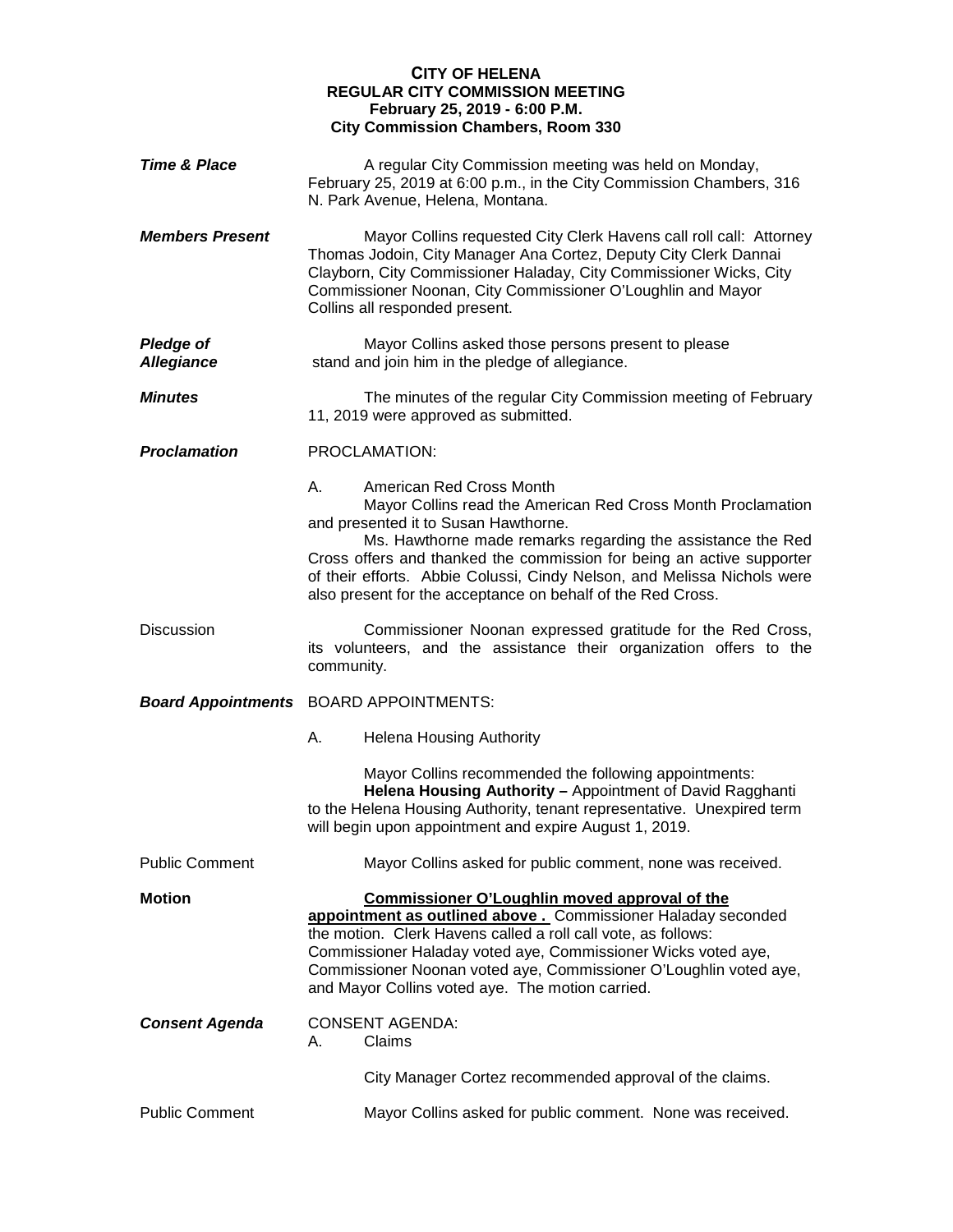## **CITY OF HELENA REGULAR CITY COMMISSION MEETING February 25, 2019 - 6:00 P.M. City Commission Chambers, Room 330**

| <b>Time &amp; Place</b>               | A regular City Commission meeting was held on Monday,<br>February 25, 2019 at 6:00 p.m., in the City Commission Chambers, 316<br>N. Park Avenue, Helena, Montana.                                                                                                                                                                                                                                                        |
|---------------------------------------|--------------------------------------------------------------------------------------------------------------------------------------------------------------------------------------------------------------------------------------------------------------------------------------------------------------------------------------------------------------------------------------------------------------------------|
| <b>Members Present</b>                | Mayor Collins requested City Clerk Havens call roll call: Attorney<br>Thomas Jodoin, City Manager Ana Cortez, Deputy City Clerk Dannai<br>Clayborn, City Commissioner Haladay, City Commissioner Wicks, City<br>Commissioner Noonan, City Commissioner O'Loughlin and Mayor<br>Collins all responded present.                                                                                                            |
| <b>Pledge of</b><br><b>Allegiance</b> | Mayor Collins asked those persons present to please<br>stand and join him in the pledge of allegiance.                                                                                                                                                                                                                                                                                                                   |
| <b>Minutes</b>                        | The minutes of the regular City Commission meeting of February<br>11, 2019 were approved as submitted.                                                                                                                                                                                                                                                                                                                   |
| <b>Proclamation</b>                   | PROCLAMATION:                                                                                                                                                                                                                                                                                                                                                                                                            |
|                                       | А.<br>American Red Cross Month<br>Mayor Collins read the American Red Cross Month Proclamation<br>and presented it to Susan Hawthorne.<br>Ms. Hawthorne made remarks regarding the assistance the Red<br>Cross offers and thanked the commission for being an active supporter<br>of their efforts. Abbie Colussi, Cindy Nelson, and Melissa Nichols were<br>also present for the acceptance on behalf of the Red Cross. |
| <b>Discussion</b>                     | Commissioner Noonan expressed gratitude for the Red Cross,<br>its volunteers, and the assistance their organization offers to the<br>community.                                                                                                                                                                                                                                                                          |
| <b>Board Appointments</b>             | <b>BOARD APPOINTMENTS:</b>                                                                                                                                                                                                                                                                                                                                                                                               |
|                                       | А.<br><b>Helena Housing Authority</b>                                                                                                                                                                                                                                                                                                                                                                                    |
|                                       | Mayor Collins recommended the following appointments:<br>Helena Housing Authority - Appointment of David Ragghanti<br>to the Helena Housing Authority, tenant representative. Unexpired term<br>will begin upon appointment and expire August 1, 2019.                                                                                                                                                                   |
| <b>Public Comment</b>                 | Mayor Collins asked for public comment, none was received.                                                                                                                                                                                                                                                                                                                                                               |
| <b>Motion</b>                         | <b>Commissioner O'Loughlin moved approval of the</b><br>appointment as outlined above. Commissioner Haladay seconded<br>the motion. Clerk Havens called a roll call vote, as follows:<br>Commissioner Haladay voted aye, Commissioner Wicks voted aye,<br>Commissioner Noonan voted aye, Commissioner O'Loughlin voted aye,<br>and Mayor Collins voted aye. The motion carried.                                          |
| <b>Consent Agenda</b>                 | <b>CONSENT AGENDA:</b><br>Claims<br>А.                                                                                                                                                                                                                                                                                                                                                                                   |
|                                       | City Manager Cortez recommended approval of the claims.                                                                                                                                                                                                                                                                                                                                                                  |
| <b>Public Comment</b>                 | Mayor Collins asked for public comment. None was received.                                                                                                                                                                                                                                                                                                                                                               |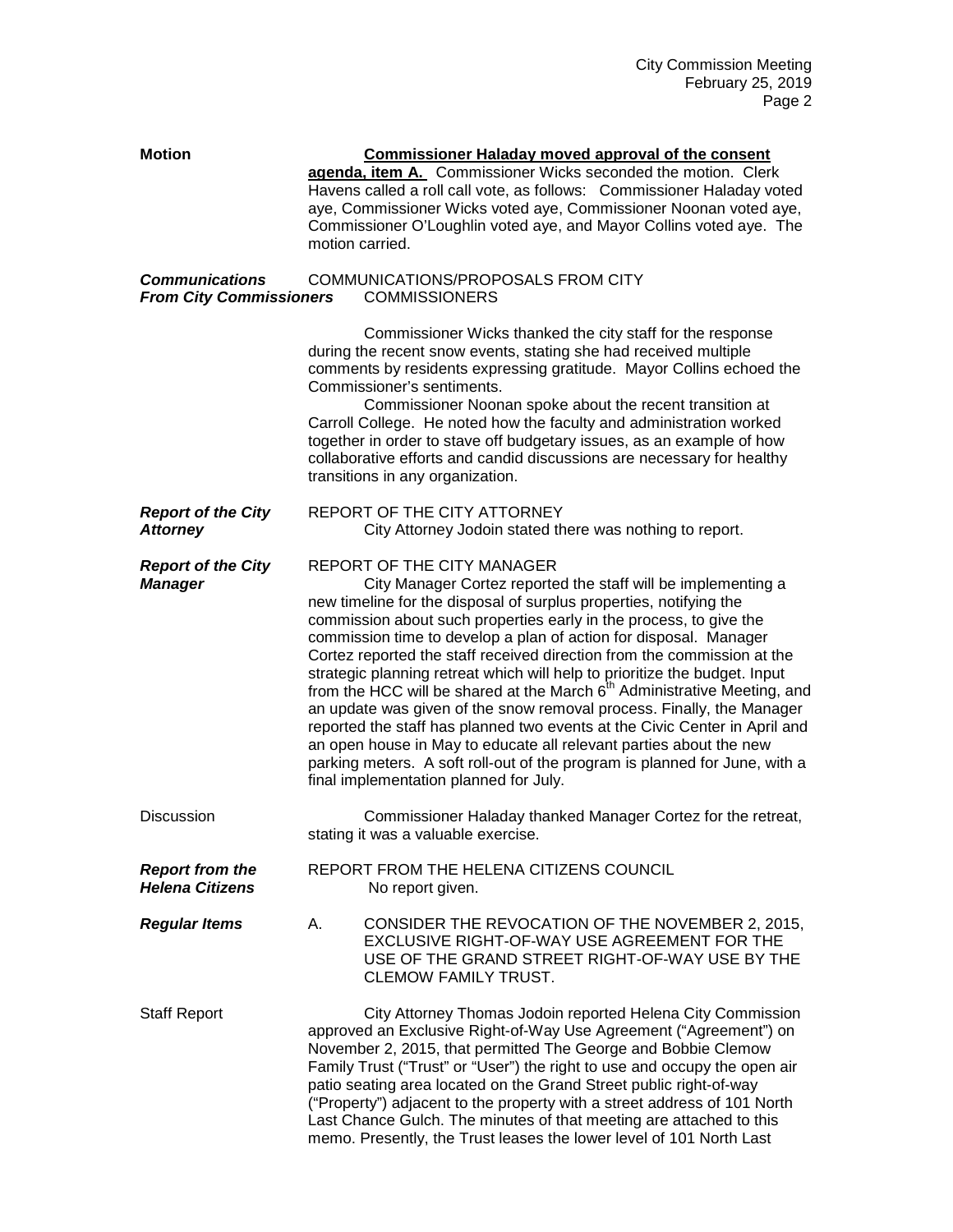| <b>Motion</b>                                           | <b>Commissioner Haladay moved approval of the consent</b><br>agenda, item A. Commissioner Wicks seconded the motion. Clerk<br>Havens called a roll call vote, as follows: Commissioner Haladay voted<br>aye, Commissioner Wicks voted aye, Commissioner Noonan voted aye,<br>Commissioner O'Loughlin voted aye, and Mayor Collins voted aye. The<br>motion carried.                                                                                                                                                                                                                                                                                                                                                                                                                                                                                                                                                       |
|---------------------------------------------------------|---------------------------------------------------------------------------------------------------------------------------------------------------------------------------------------------------------------------------------------------------------------------------------------------------------------------------------------------------------------------------------------------------------------------------------------------------------------------------------------------------------------------------------------------------------------------------------------------------------------------------------------------------------------------------------------------------------------------------------------------------------------------------------------------------------------------------------------------------------------------------------------------------------------------------|
| <b>Communications</b><br><b>From City Commissioners</b> | COMMUNICATIONS/PROPOSALS FROM CITY<br><b>COMMISSIONERS</b>                                                                                                                                                                                                                                                                                                                                                                                                                                                                                                                                                                                                                                                                                                                                                                                                                                                                |
|                                                         | Commissioner Wicks thanked the city staff for the response<br>during the recent snow events, stating she had received multiple<br>comments by residents expressing gratitude. Mayor Collins echoed the<br>Commissioner's sentiments.<br>Commissioner Noonan spoke about the recent transition at<br>Carroll College. He noted how the faculty and administration worked<br>together in order to stave off budgetary issues, as an example of how<br>collaborative efforts and candid discussions are necessary for healthy<br>transitions in any organization.                                                                                                                                                                                                                                                                                                                                                            |
| <b>Report of the City</b><br><b>Attorney</b>            | REPORT OF THE CITY ATTORNEY<br>City Attorney Jodoin stated there was nothing to report.                                                                                                                                                                                                                                                                                                                                                                                                                                                                                                                                                                                                                                                                                                                                                                                                                                   |
| <b>Report of the City</b><br><b>Manager</b>             | <b>REPORT OF THE CITY MANAGER</b><br>City Manager Cortez reported the staff will be implementing a<br>new timeline for the disposal of surplus properties, notifying the<br>commission about such properties early in the process, to give the<br>commission time to develop a plan of action for disposal. Manager<br>Cortez reported the staff received direction from the commission at the<br>strategic planning retreat which will help to prioritize the budget. Input<br>from the HCC will be shared at the March 6 <sup>th</sup> Administrative Meeting, and<br>an update was given of the snow removal process. Finally, the Manager<br>reported the staff has planned two events at the Civic Center in April and<br>an open house in May to educate all relevant parties about the new<br>parking meters. A soft roll-out of the program is planned for June, with a<br>final implementation planned for July. |
| <b>Discussion</b>                                       | Commissioner Haladay thanked Manager Cortez for the retreat,<br>stating it was a valuable exercise.                                                                                                                                                                                                                                                                                                                                                                                                                                                                                                                                                                                                                                                                                                                                                                                                                       |
| <b>Report from the</b><br><b>Helena Citizens</b>        | REPORT FROM THE HELENA CITIZENS COUNCIL<br>No report given.                                                                                                                                                                                                                                                                                                                                                                                                                                                                                                                                                                                                                                                                                                                                                                                                                                                               |
| <b>Regular Items</b>                                    | CONSIDER THE REVOCATION OF THE NOVEMBER 2, 2015,<br>А.<br>EXCLUSIVE RIGHT-OF-WAY USE AGREEMENT FOR THE<br>USE OF THE GRAND STREET RIGHT-OF-WAY USE BY THE<br><b>CLEMOW FAMILY TRUST.</b>                                                                                                                                                                                                                                                                                                                                                                                                                                                                                                                                                                                                                                                                                                                                  |
| <b>Staff Report</b>                                     | City Attorney Thomas Jodoin reported Helena City Commission<br>approved an Exclusive Right-of-Way Use Agreement ("Agreement") on<br>November 2, 2015, that permitted The George and Bobbie Clemow<br>Family Trust ("Trust" or "User") the right to use and occupy the open air<br>patio seating area located on the Grand Street public right-of-way<br>("Property") adjacent to the property with a street address of 101 North<br>Last Chance Gulch. The minutes of that meeting are attached to this<br>memo. Presently, the Trust leases the lower level of 101 North Last                                                                                                                                                                                                                                                                                                                                            |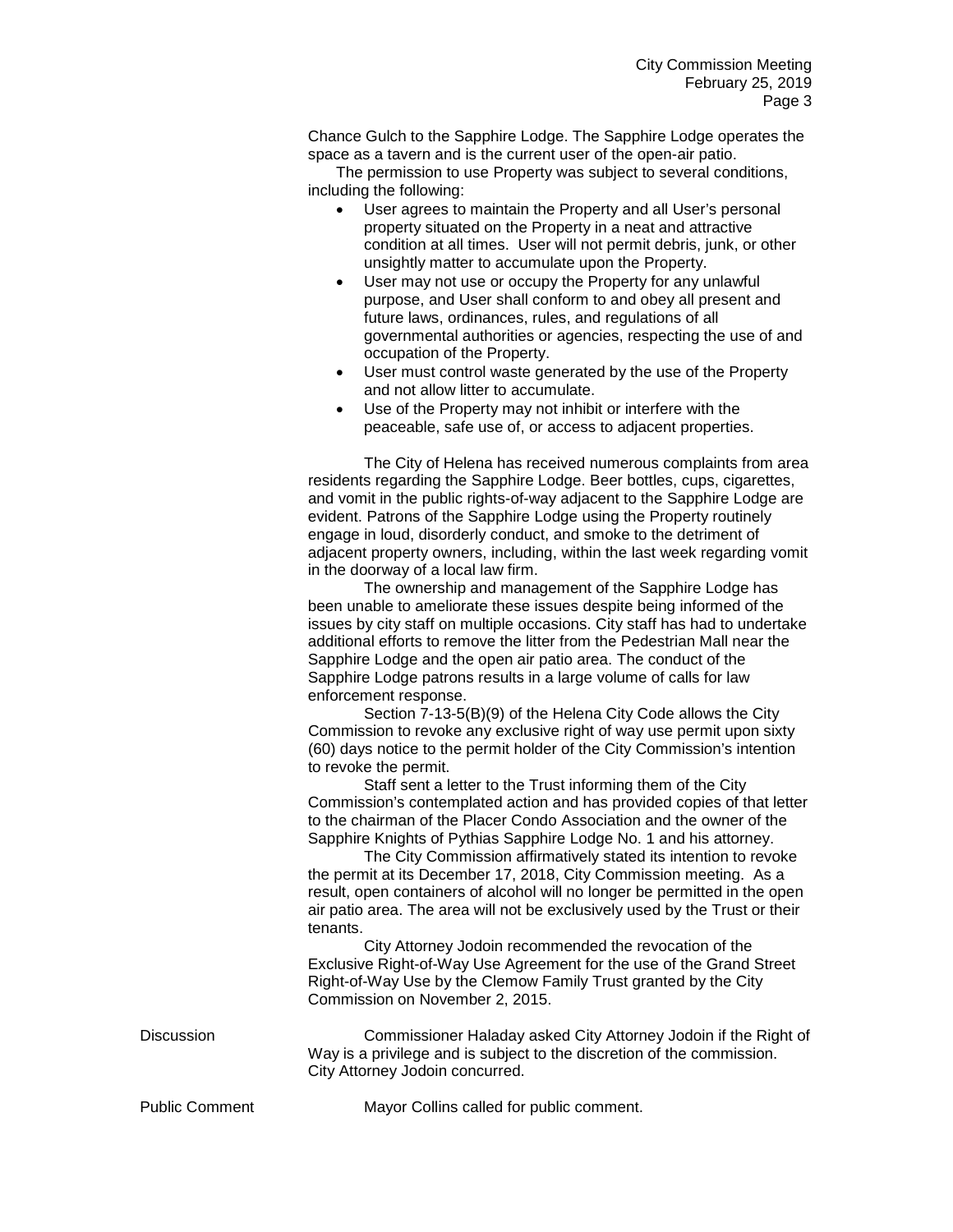Chance Gulch to the Sapphire Lodge. The Sapphire Lodge operates the space as a tavern and is the current user of the open-air patio.

The permission to use Property was subject to several conditions, including the following:

- User agrees to maintain the Property and all User's personal property situated on the Property in a neat and attractive condition at all times. User will not permit debris, junk, or other unsightly matter to accumulate upon the Property.
- User may not use or occupy the Property for any unlawful purpose, and User shall conform to and obey all present and future laws, ordinances, rules, and regulations of all governmental authorities or agencies, respecting the use of and occupation of the Property.
- User must control waste generated by the use of the Property and not allow litter to accumulate.
- Use of the Property may not inhibit or interfere with the peaceable, safe use of, or access to adjacent properties.

The City of Helena has received numerous complaints from area residents regarding the Sapphire Lodge. Beer bottles, cups, cigarettes, and vomit in the public rights-of-way adjacent to the Sapphire Lodge are evident. Patrons of the Sapphire Lodge using the Property routinely engage in loud, disorderly conduct, and smoke to the detriment of adjacent property owners, including, within the last week regarding vomit in the doorway of a local law firm.

The ownership and management of the Sapphire Lodge has been unable to ameliorate these issues despite being informed of the issues by city staff on multiple occasions. City staff has had to undertake additional efforts to remove the litter from the Pedestrian Mall near the Sapphire Lodge and the open air patio area. The conduct of the Sapphire Lodge patrons results in a large volume of calls for law enforcement response.

Section 7-13-5(B)(9) of the Helena City Code allows the City Commission to revoke any exclusive right of way use permit upon sixty (60) days notice to the permit holder of the City Commission's intention to revoke the permit.

Staff sent a letter to the Trust informing them of the City Commission's contemplated action and has provided copies of that letter to the chairman of the Placer Condo Association and the owner of the Sapphire Knights of Pythias Sapphire Lodge No. 1 and his attorney.

The City Commission affirmatively stated its intention to revoke the permit at its December 17, 2018, City Commission meeting. As a result, open containers of alcohol will no longer be permitted in the open air patio area. The area will not be exclusively used by the Trust or their tenants.

City Attorney Jodoin recommended the revocation of the Exclusive Right-of-Way Use Agreement for the use of the Grand Street Right-of-Way Use by the Clemow Family Trust granted by the City Commission on November 2, 2015.

Discussion Commissioner Haladay asked City Attorney Jodoin if the Right of Way is a privilege and is subject to the discretion of the commission. City Attorney Jodoin concurred.

Public Comment Mayor Collins called for public comment.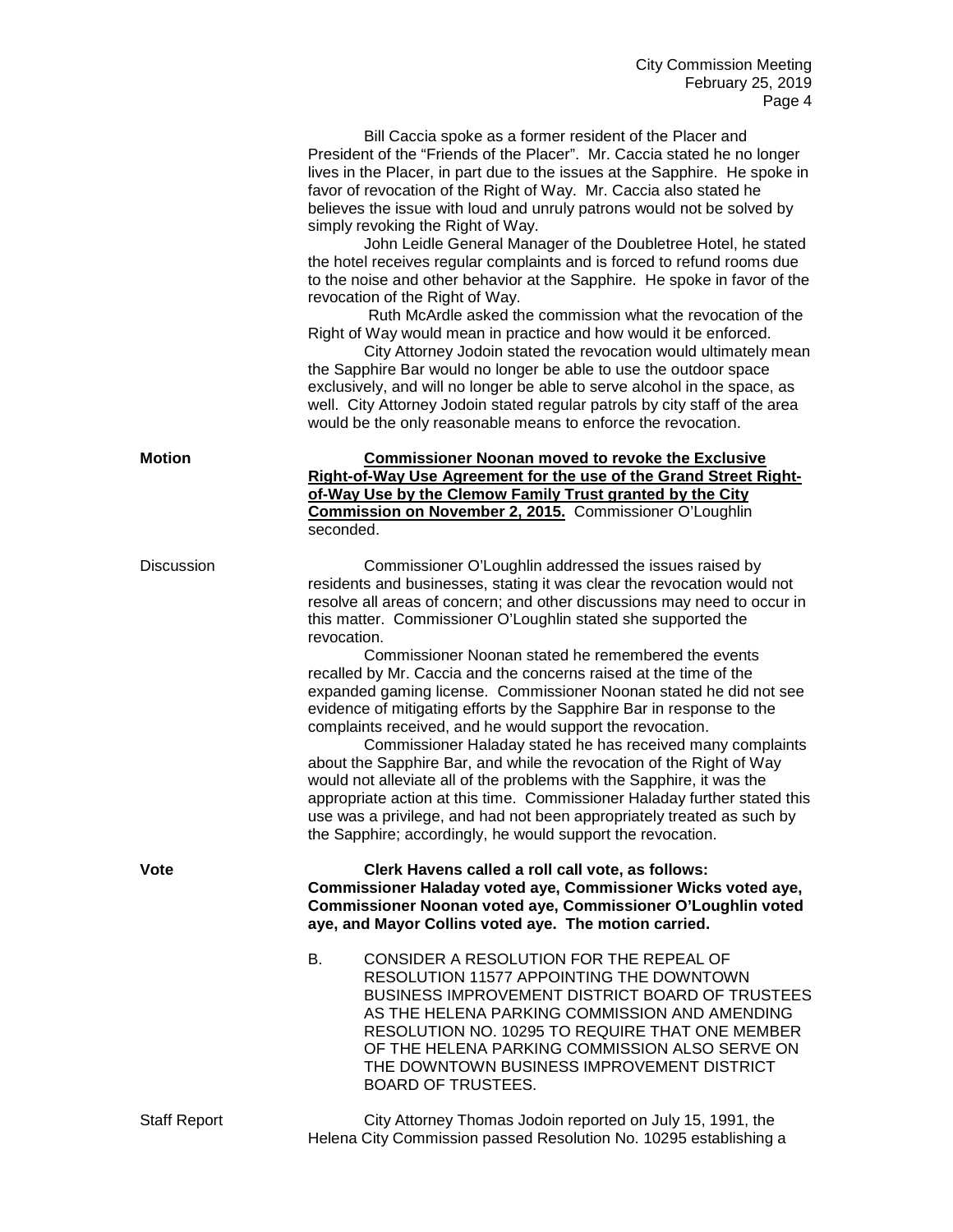Bill Caccia spoke as a former resident of the Placer and President of the "Friends of the Placer". Mr. Caccia stated he no longer lives in the Placer, in part due to the issues at the Sapphire. He spoke in favor of revocation of the Right of Way. Mr. Caccia also stated he believes the issue with loud and unruly patrons would not be solved by simply revoking the Right of Way.

John Leidle General Manager of the Doubletree Hotel, he stated the hotel receives regular complaints and is forced to refund rooms due to the noise and other behavior at the Sapphire. He spoke in favor of the revocation of the Right of Way.

Ruth McArdle asked the commission what the revocation of the Right of Way would mean in practice and how would it be enforced.

City Attorney Jodoin stated the revocation would ultimately mean the Sapphire Bar would no longer be able to use the outdoor space exclusively, and will no longer be able to serve alcohol in the space, as well. City Attorney Jodoin stated regular patrols by city staff of the area would be the only reasonable means to enforce the revocation.

| Motion     | <b>Commissioner Noonan moved to revoke the Exclusive</b><br>Right-of-Way Use Agreement for the use of the Grand Street Right-<br>of-Way Use by the Clemow Family Trust granted by the City<br>Commission on November 2, 2015. Commissioner O'Loughlin<br>seconded.                                                                                                                                                                                                                                                                                                                                                                                                                                                                                                                                                                                                                                                                                                                                                                                                          |
|------------|-----------------------------------------------------------------------------------------------------------------------------------------------------------------------------------------------------------------------------------------------------------------------------------------------------------------------------------------------------------------------------------------------------------------------------------------------------------------------------------------------------------------------------------------------------------------------------------------------------------------------------------------------------------------------------------------------------------------------------------------------------------------------------------------------------------------------------------------------------------------------------------------------------------------------------------------------------------------------------------------------------------------------------------------------------------------------------|
| Discussion | Commissioner O'Loughlin addressed the issues raised by<br>residents and businesses, stating it was clear the revocation would not<br>resolve all areas of concern; and other discussions may need to occur in<br>this matter. Commissioner O'Loughlin stated she supported the<br>revocation.<br>Commissioner Noonan stated he remembered the events<br>recalled by Mr. Caccia and the concerns raised at the time of the<br>expanded gaming license. Commissioner Noonan stated he did not see<br>evidence of mitigating efforts by the Sapphire Bar in response to the<br>complaints received, and he would support the revocation.<br>Commissioner Haladay stated he has received many complaints<br>about the Sapphire Bar, and while the revocation of the Right of Way<br>would not alleviate all of the problems with the Sapphire, it was the<br>appropriate action at this time. Commissioner Haladay further stated this<br>use was a privilege, and had not been appropriately treated as such by<br>the Sapphire; accordingly, he would support the revocation. |
| Vote       | Clerk Havens called a roll call vote, as follows:<br>Commissioner Haladay voted aye, Commissioner Wicks voted aye,<br>Commissioner Noonan voted aye, Commissioner O'Loughlin voted<br>aye, and Mayor Collins voted aye. The motion carried.                                                                                                                                                                                                                                                                                                                                                                                                                                                                                                                                                                                                                                                                                                                                                                                                                                 |
|            | CONSIDER A RESOLUTION FOR THE REPEAL OF<br><b>B.</b><br>RESOLUTION 11577 APPOINTING THE DOWNTOWN<br>BUSINESS IMPROVEMENT DISTRICT BOARD OF TRUSTEES<br>AS THE HELENA PARKING COMMISSION AND AMENDING<br>RESOLUTION NO. 10295 TO REQUIRE THAT ONE MEMBER<br>OF THE HELENA PARKING COMMISSION ALSO SERVE ON                                                                                                                                                                                                                                                                                                                                                                                                                                                                                                                                                                                                                                                                                                                                                                   |

Staff Report City Attorney Thomas Jodoin reported on July 15, 1991, the Helena City Commission passed Resolution No. 10295 establishing a

BOARD OF TRUSTEES.

THE DOWNTOWN BUSINESS IMPROVEMENT DISTRICT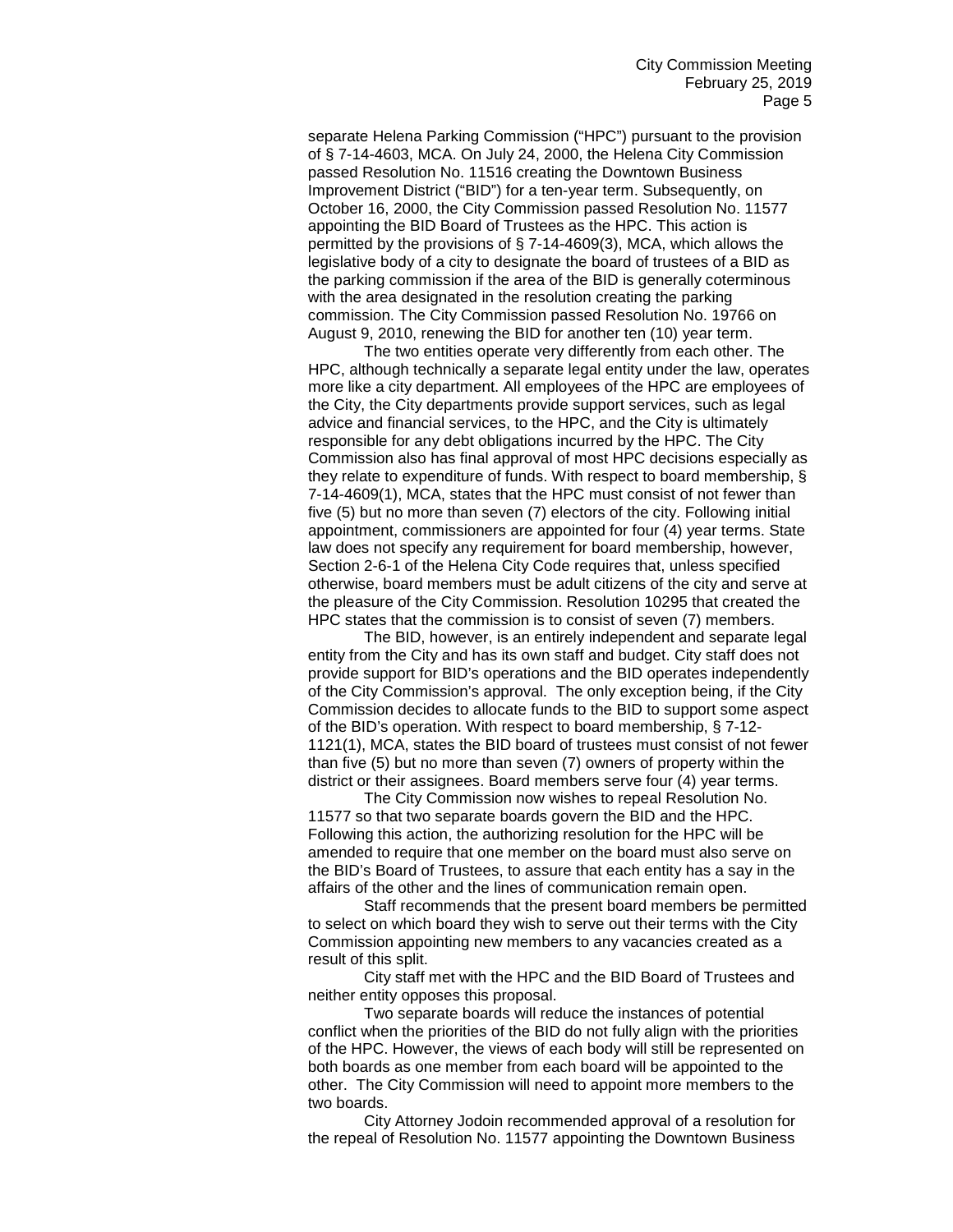separate Helena Parking Commission ("HPC") pursuant to the provision of § 7-14-4603, MCA. On July 24, 2000, the Helena City Commission passed Resolution No. 11516 creating the Downtown Business Improvement District ("BID") for a ten-year term. Subsequently, on October 16, 2000, the City Commission passed Resolution No. 11577 appointing the BID Board of Trustees as the HPC. This action is permitted by the provisions of § 7-14-4609(3), MCA, which allows the legislative body of a city to designate the board of trustees of a BID as the parking commission if the area of the BID is generally coterminous with the area designated in the resolution creating the parking commission. The City Commission passed Resolution No. 19766 on August 9, 2010, renewing the BID for another ten (10) year term.

The two entities operate very differently from each other. The HPC, although technically a separate legal entity under the law, operates more like a city department. All employees of the HPC are employees of the City, the City departments provide support services, such as legal advice and financial services, to the HPC, and the City is ultimately responsible for any debt obligations incurred by the HPC. The City Commission also has final approval of most HPC decisions especially as they relate to expenditure of funds. With respect to board membership, § 7-14-4609(1), MCA, states that the HPC must consist of not fewer than five (5) but no more than seven (7) electors of the city. Following initial appointment, commissioners are appointed for four (4) year terms. State law does not specify any requirement for board membership, however, Section 2-6-1 of the Helena City Code requires that, unless specified otherwise, board members must be adult citizens of the city and serve at the pleasure of the City Commission. Resolution 10295 that created the HPC states that the commission is to consist of seven (7) members.

The BID, however, is an entirely independent and separate legal entity from the City and has its own staff and budget. City staff does not provide support for BID's operations and the BID operates independently of the City Commission's approval. The only exception being, if the City Commission decides to allocate funds to the BID to support some aspect of the BID's operation. With respect to board membership, § 7-12- 1121(1), MCA, states the BID board of trustees must consist of not fewer than five (5) but no more than seven (7) owners of property within the district or their assignees. Board members serve four (4) year terms.

The City Commission now wishes to repeal Resolution No. 11577 so that two separate boards govern the BID and the HPC. Following this action, the authorizing resolution for the HPC will be amended to require that one member on the board must also serve on the BID's Board of Trustees, to assure that each entity has a say in the affairs of the other and the lines of communication remain open.

Staff recommends that the present board members be permitted to select on which board they wish to serve out their terms with the City Commission appointing new members to any vacancies created as a result of this split.

City staff met with the HPC and the BID Board of Trustees and neither entity opposes this proposal.

Two separate boards will reduce the instances of potential conflict when the priorities of the BID do not fully align with the priorities of the HPC. However, the views of each body will still be represented on both boards as one member from each board will be appointed to the other. The City Commission will need to appoint more members to the two boards.

City Attorney Jodoin recommended approval of a resolution for the repeal of Resolution No. 11577 appointing the Downtown Business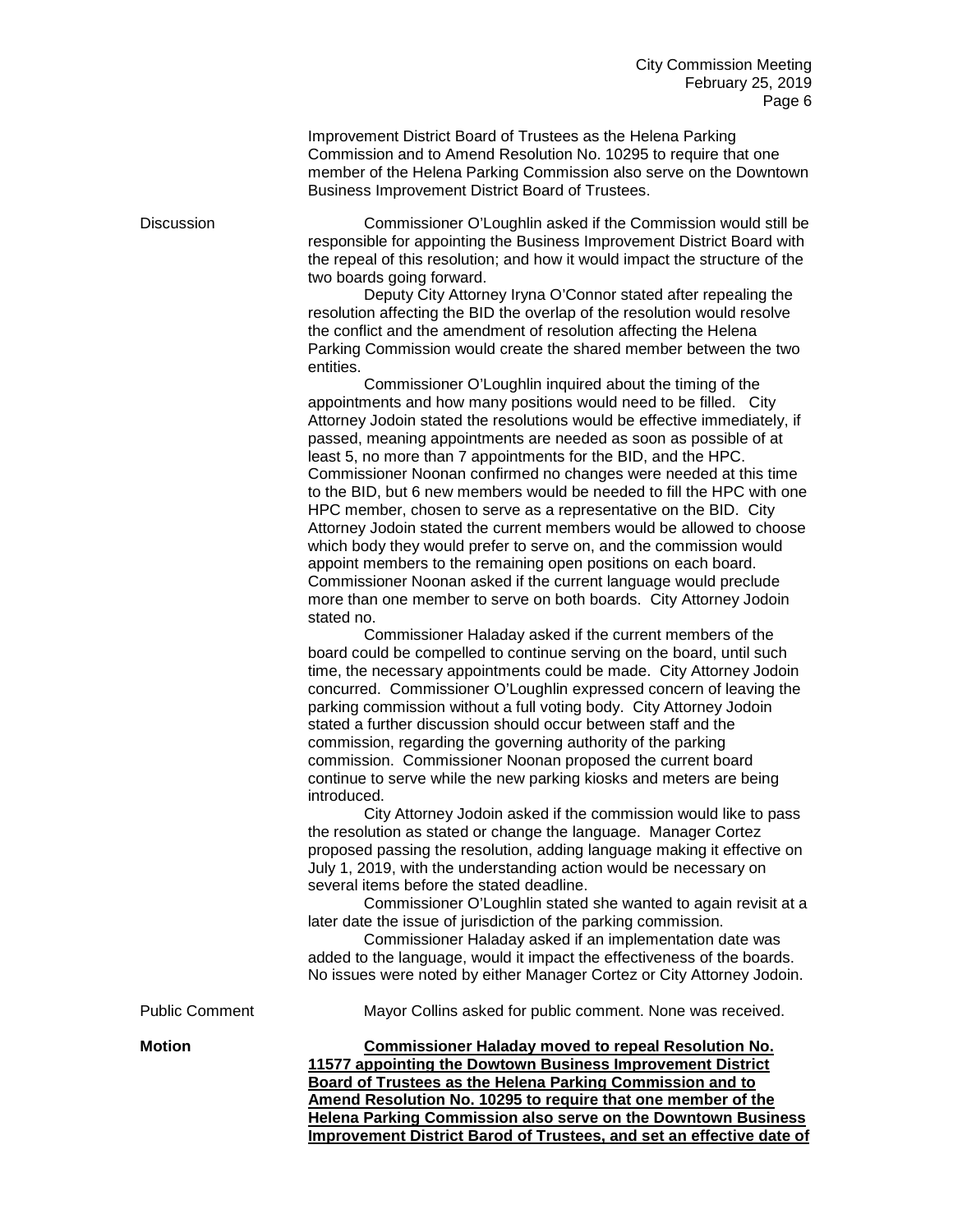Improvement District Board of Trustees as the Helena Parking Commission and to Amend Resolution No. 10295 to require that one member of the Helena Parking Commission also serve on the Downtown Business Improvement District Board of Trustees.

Discussion Commissioner O'Loughlin asked if the Commission would still be responsible for appointing the Business Improvement District Board with the repeal of this resolution; and how it would impact the structure of the two boards going forward.

> Deputy City Attorney Iryna O'Connor stated after repealing the resolution affecting the BID the overlap of the resolution would resolve the conflict and the amendment of resolution affecting the Helena Parking Commission would create the shared member between the two entities.

Commissioner O'Loughlin inquired about the timing of the appointments and how many positions would need to be filled. City Attorney Jodoin stated the resolutions would be effective immediately, if passed, meaning appointments are needed as soon as possible of at least 5, no more than 7 appointments for the BID, and the HPC. Commissioner Noonan confirmed no changes were needed at this time to the BID, but 6 new members would be needed to fill the HPC with one HPC member, chosen to serve as a representative on the BID. City Attorney Jodoin stated the current members would be allowed to choose which body they would prefer to serve on, and the commission would appoint members to the remaining open positions on each board. Commissioner Noonan asked if the current language would preclude more than one member to serve on both boards. City Attorney Jodoin stated no.

Commissioner Haladay asked if the current members of the board could be compelled to continue serving on the board, until such time, the necessary appointments could be made. City Attorney Jodoin concurred. Commissioner O'Loughlin expressed concern of leaving the parking commission without a full voting body. City Attorney Jodoin stated a further discussion should occur between staff and the commission, regarding the governing authority of the parking commission. Commissioner Noonan proposed the current board continue to serve while the new parking kiosks and meters are being introduced.

City Attorney Jodoin asked if the commission would like to pass the resolution as stated or change the language. Manager Cortez proposed passing the resolution, adding language making it effective on July 1, 2019, with the understanding action would be necessary on several items before the stated deadline.

Commissioner O'Loughlin stated she wanted to again revisit at a later date the issue of jurisdiction of the parking commission.

Commissioner Haladay asked if an implementation date was added to the language, would it impact the effectiveness of the boards. No issues were noted by either Manager Cortez or City Attorney Jodoin.

Public Comment Mayor Collins asked for public comment. None was received.

**Motion Commissioner Haladay moved to repeal Resolution No. 11577 appointing the Dowtown Business Improvement District Board of Trustees as the Helena Parking Commission and to Amend Resolution No. 10295 to require that one member of the Helena Parking Commission also serve on the Downtown Business Improvement District Barod of Trustees, and set an effective date of**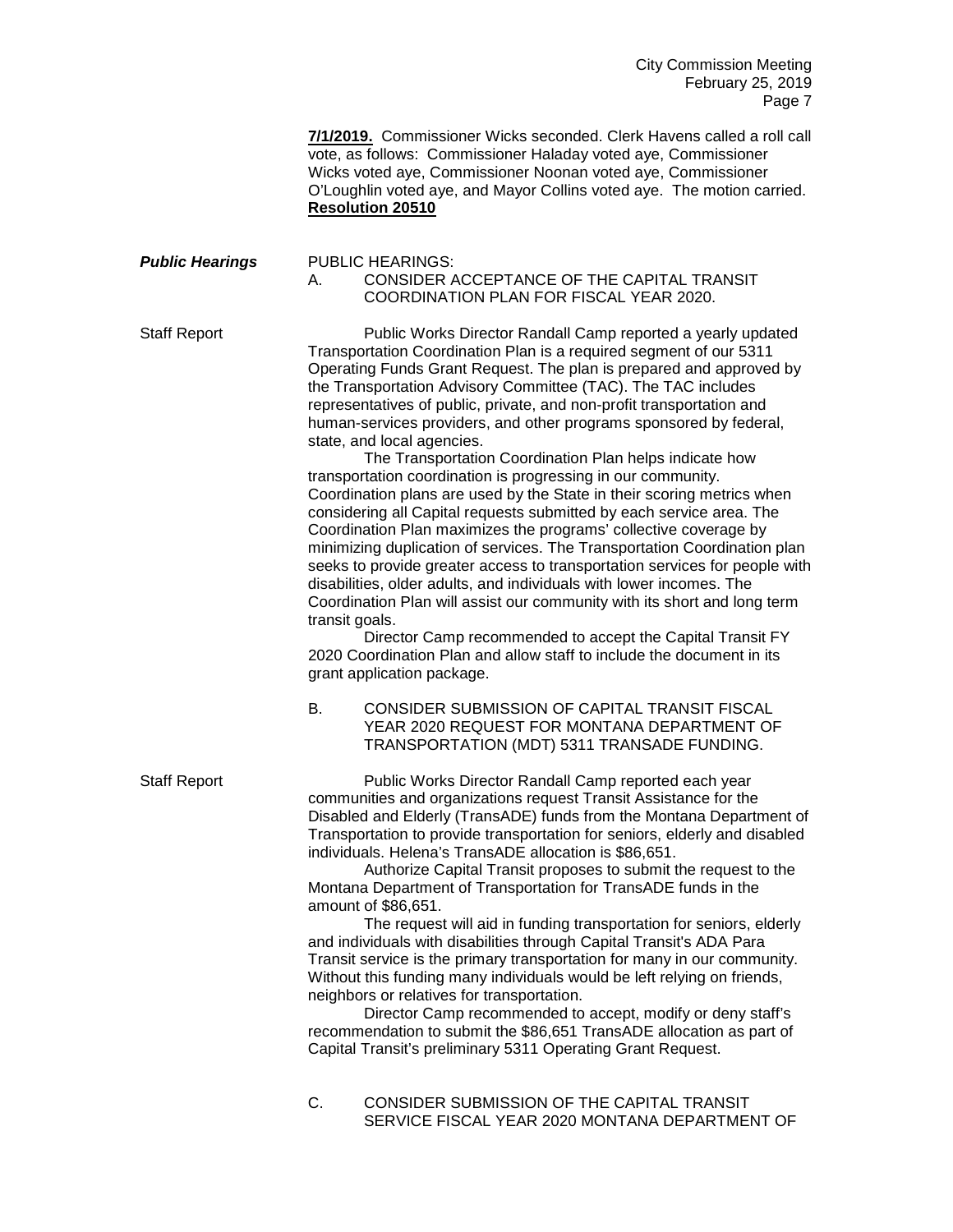City Commission Meeting February 25, 2019 Page 7

**7/1/2019.** Commissioner Wicks seconded. Clerk Havens called a roll call vote, as follows: Commissioner Haladay voted aye, Commissioner Wicks voted aye, Commissioner Noonan voted aye, Commissioner O'Loughlin voted aye, and Mayor Collins voted aye. The motion carried. **Resolution 20510**

## *Public Hearings* PUBLIC HEARINGS: A. CONSIDER ACCEPTANCE OF THE CAPITAL TRANSIT COORDINATION PLAN FOR FISCAL YEAR 2020.

Staff Report Public Works Director Randall Camp reported a yearly updated Transportation Coordination Plan is a required segment of our 5311 Operating Funds Grant Request. The plan is prepared and approved by the Transportation Advisory Committee (TAC). The TAC includes representatives of public, private, and non-profit transportation and human-services providers, and other programs sponsored by federal, state, and local agencies.

> The Transportation Coordination Plan helps indicate how transportation coordination is progressing in our community. Coordination plans are used by the State in their scoring metrics when considering all Capital requests submitted by each service area. The Coordination Plan maximizes the programs' collective coverage by minimizing duplication of services. The Transportation Coordination plan seeks to provide greater access to transportation services for people with disabilities, older adults, and individuals with lower incomes. The Coordination Plan will assist our community with its short and long term transit goals.

Director Camp recommended to accept the Capital Transit FY 2020 Coordination Plan and allow staff to include the document in its grant application package.

B. CONSIDER SUBMISSION OF CAPITAL TRANSIT FISCAL YEAR 2020 REQUEST FOR MONTANA DEPARTMENT OF TRANSPORTATION (MDT) 5311 TRANSADE FUNDING.

Staff Report Public Works Director Randall Camp reported each year communities and organizations request Transit Assistance for the Disabled and Elderly (TransADE) funds from the Montana Department of Transportation to provide transportation for seniors, elderly and disabled individuals. Helena's TransADE allocation is \$86,651.

Authorize Capital Transit proposes to submit the request to the Montana Department of Transportation for TransADE funds in the amount of \$86,651.

The request will aid in funding transportation for seniors, elderly and individuals with disabilities through Capital Transit's ADA Para Transit service is the primary transportation for many in our community. Without this funding many individuals would be left relying on friends, neighbors or relatives for transportation.

Director Camp recommended to accept, modify or deny staff's recommendation to submit the \$86,651 TransADE allocation as part of Capital Transit's preliminary 5311 Operating Grant Request.

C. CONSIDER SUBMISSION OF THE CAPITAL TRANSIT SERVICE FISCAL YEAR 2020 MONTANA DEPARTMENT OF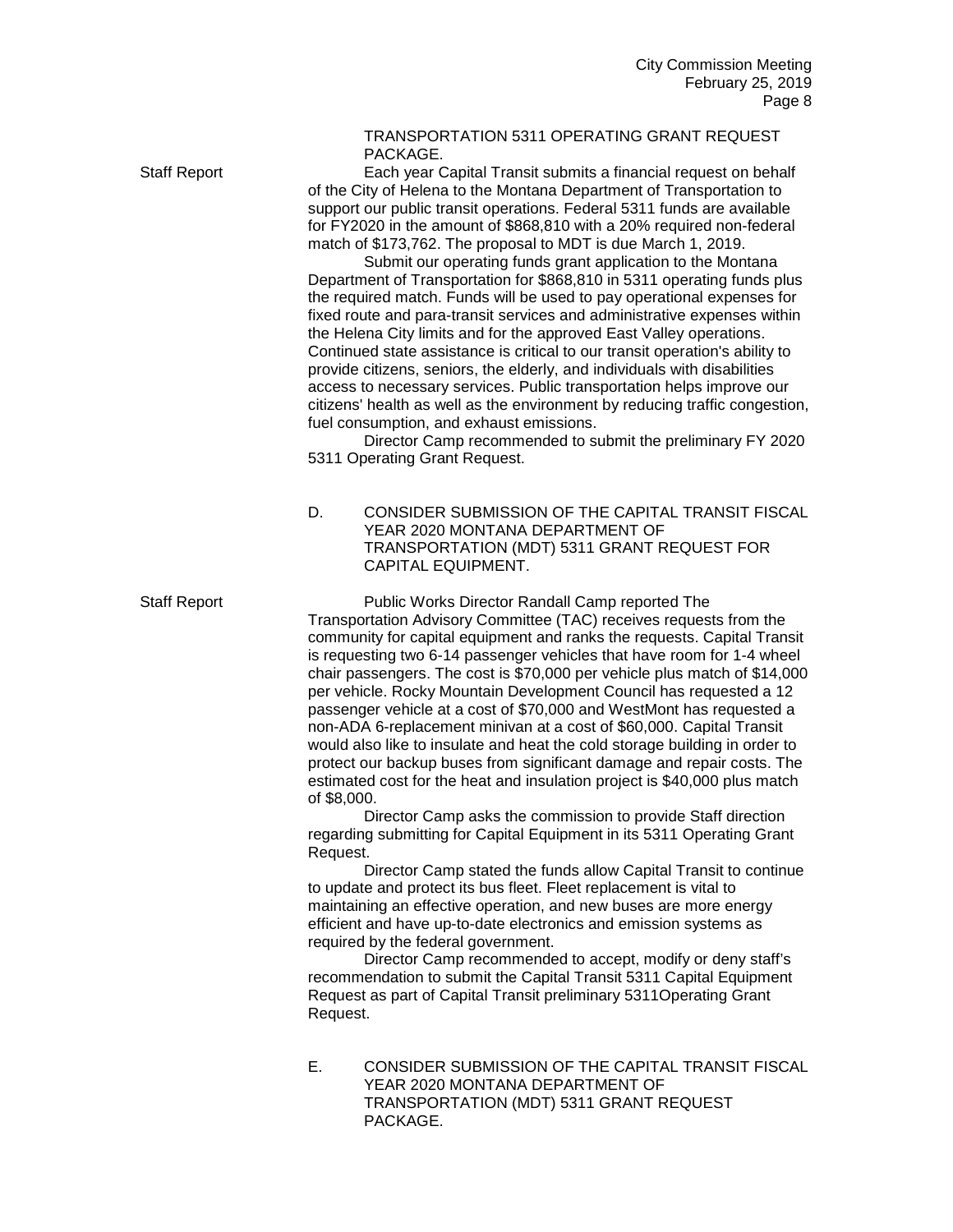## TRANSPORTATION 5311 OPERATING GRANT REQUEST PACKAGE.

Staff Report Each year Capital Transit submits a financial request on behalf of the City of Helena to the Montana Department of Transportation to support our public transit operations. Federal 5311 funds are available for FY2020 in the amount of \$868,810 with a 20% required non-federal match of \$173,762. The proposal to MDT is due March 1, 2019.

> Submit our operating funds grant application to the Montana Department of Transportation for \$868,810 in 5311 operating funds plus the required match. Funds will be used to pay operational expenses for fixed route and para-transit services and administrative expenses within the Helena City limits and for the approved East Valley operations. Continued state assistance is critical to our transit operation's ability to provide citizens, seniors, the elderly, and individuals with disabilities access to necessary services. Public transportation helps improve our citizens' health as well as the environment by reducing traffic congestion, fuel consumption, and exhaust emissions.

> Director Camp recommended to submit the preliminary FY 2020 5311 Operating Grant Request.

> D. CONSIDER SUBMISSION OF THE CAPITAL TRANSIT FISCAL YEAR 2020 MONTANA DEPARTMENT OF TRANSPORTATION (MDT) 5311 GRANT REQUEST FOR CAPITAL EQUIPMENT.

Staff Report Public Works Director Randall Camp reported The Transportation Advisory Committee (TAC) receives requests from the community for capital equipment and ranks the requests. Capital Transit is requesting two 6-14 passenger vehicles that have room for 1-4 wheel chair passengers. The cost is \$70,000 per vehicle plus match of \$14,000 per vehicle. Rocky Mountain Development Council has requested a 12 passenger vehicle at a cost of \$70,000 and WestMont has requested a non-ADA 6-replacement minivan at a cost of \$60,000. Capital Transit would also like to insulate and heat the cold storage building in order to protect our backup buses from significant damage and repair costs. The estimated cost for the heat and insulation project is \$40,000 plus match of \$8,000.

> Director Camp asks the commission to provide Staff direction regarding submitting for Capital Equipment in its 5311 Operating Grant Request.

> Director Camp stated the funds allow Capital Transit to continue to update and protect its bus fleet. Fleet replacement is vital to maintaining an effective operation, and new buses are more energy efficient and have up-to-date electronics and emission systems as required by the federal government.

Director Camp recommended to accept, modify or deny staff's recommendation to submit the Capital Transit 5311 Capital Equipment Request as part of Capital Transit preliminary 5311Operating Grant Request.

E. CONSIDER SUBMISSION OF THE CAPITAL TRANSIT FISCAL YEAR 2020 MONTANA DEPARTMENT OF TRANSPORTATION (MDT) 5311 GRANT REQUEST PACKAGE.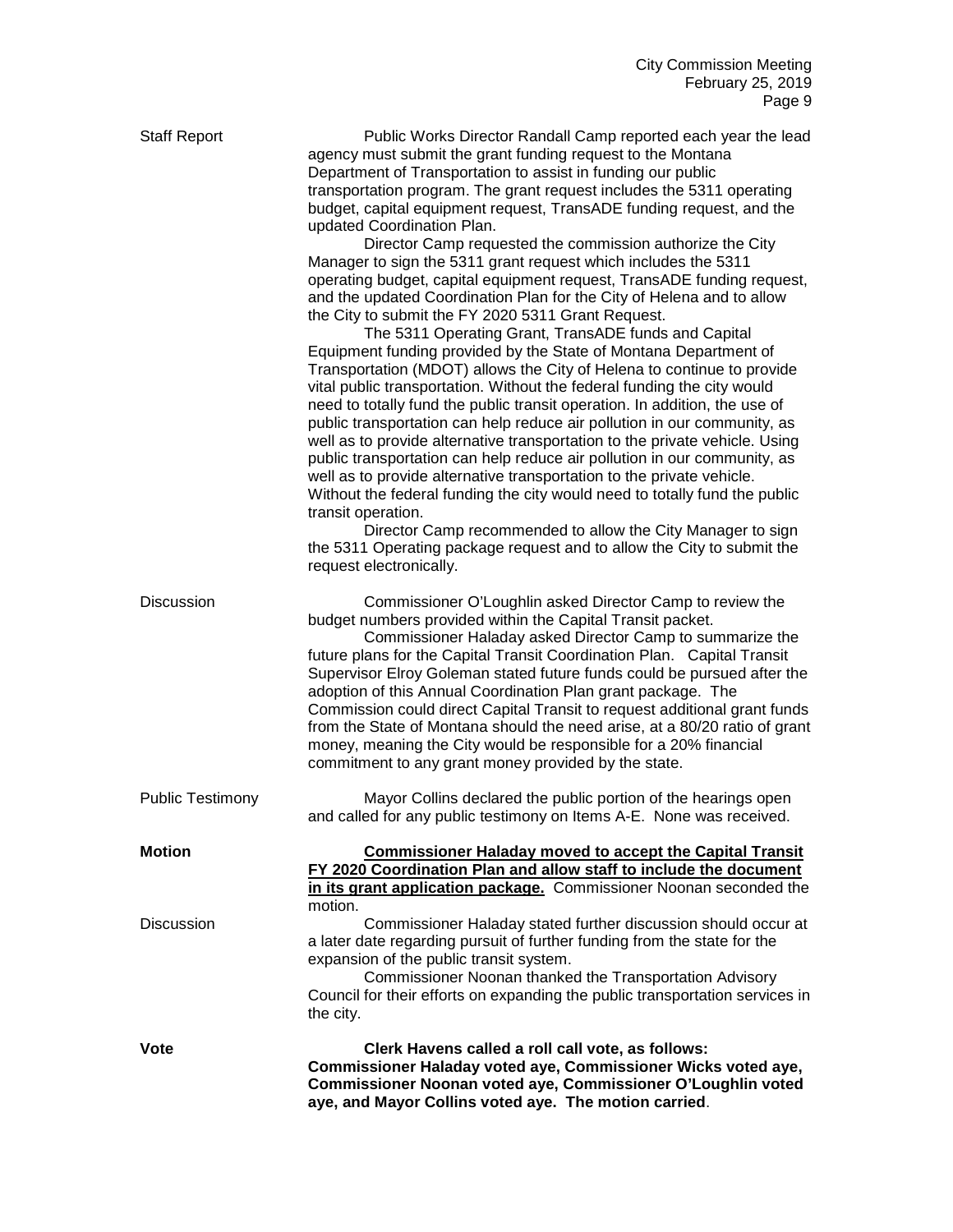| <b>Staff Report</b>     | Public Works Director Randall Camp reported each year the lead<br>agency must submit the grant funding request to the Montana<br>Department of Transportation to assist in funding our public<br>transportation program. The grant request includes the 5311 operating<br>budget, capital equipment request, TransADE funding request, and the<br>updated Coordination Plan.<br>Director Camp requested the commission authorize the City<br>Manager to sign the 5311 grant request which includes the 5311<br>operating budget, capital equipment request, TransADE funding request,<br>and the updated Coordination Plan for the City of Helena and to allow<br>the City to submit the FY 2020 5311 Grant Request.<br>The 5311 Operating Grant, TransADE funds and Capital<br>Equipment funding provided by the State of Montana Department of<br>Transportation (MDOT) allows the City of Helena to continue to provide<br>vital public transportation. Without the federal funding the city would<br>need to totally fund the public transit operation. In addition, the use of<br>public transportation can help reduce air pollution in our community, as<br>well as to provide alternative transportation to the private vehicle. Using<br>public transportation can help reduce air pollution in our community, as<br>well as to provide alternative transportation to the private vehicle.<br>Without the federal funding the city would need to totally fund the public<br>transit operation.<br>Director Camp recommended to allow the City Manager to sign<br>the 5311 Operating package request and to allow the City to submit the<br>request electronically. |
|-------------------------|-----------------------------------------------------------------------------------------------------------------------------------------------------------------------------------------------------------------------------------------------------------------------------------------------------------------------------------------------------------------------------------------------------------------------------------------------------------------------------------------------------------------------------------------------------------------------------------------------------------------------------------------------------------------------------------------------------------------------------------------------------------------------------------------------------------------------------------------------------------------------------------------------------------------------------------------------------------------------------------------------------------------------------------------------------------------------------------------------------------------------------------------------------------------------------------------------------------------------------------------------------------------------------------------------------------------------------------------------------------------------------------------------------------------------------------------------------------------------------------------------------------------------------------------------------------------------------------------------------------------------------------------------------------------------------|
| Discussion              | Commissioner O'Loughlin asked Director Camp to review the<br>budget numbers provided within the Capital Transit packet.<br>Commissioner Haladay asked Director Camp to summarize the<br>future plans for the Capital Transit Coordination Plan. Capital Transit<br>Supervisor Elroy Goleman stated future funds could be pursued after the<br>adoption of this Annual Coordination Plan grant package. The<br>Commission could direct Capital Transit to request additional grant funds<br>from the State of Montana should the need arise, at a 80/20 ratio of grant<br>money, meaning the City would be responsible for a 20% financial<br>commitment to any grant money provided by the state.                                                                                                                                                                                                                                                                                                                                                                                                                                                                                                                                                                                                                                                                                                                                                                                                                                                                                                                                                                           |
| <b>Public Testimony</b> | Mayor Collins declared the public portion of the hearings open<br>and called for any public testimony on Items A-E. None was received.                                                                                                                                                                                                                                                                                                                                                                                                                                                                                                                                                                                                                                                                                                                                                                                                                                                                                                                                                                                                                                                                                                                                                                                                                                                                                                                                                                                                                                                                                                                                      |
| <b>Motion</b>           | <b>Commissioner Haladay moved to accept the Capital Transit</b><br>FY 2020 Coordination Plan and allow staff to include the document<br>in its grant application package. Commissioner Noonan seconded the<br>motion.                                                                                                                                                                                                                                                                                                                                                                                                                                                                                                                                                                                                                                                                                                                                                                                                                                                                                                                                                                                                                                                                                                                                                                                                                                                                                                                                                                                                                                                       |
| <b>Discussion</b>       | Commissioner Haladay stated further discussion should occur at<br>a later date regarding pursuit of further funding from the state for the<br>expansion of the public transit system.<br>Commissioner Noonan thanked the Transportation Advisory<br>Council for their efforts on expanding the public transportation services in<br>the city.                                                                                                                                                                                                                                                                                                                                                                                                                                                                                                                                                                                                                                                                                                                                                                                                                                                                                                                                                                                                                                                                                                                                                                                                                                                                                                                               |
| Vote                    | Clerk Havens called a roll call vote, as follows:<br>Commissioner Haladay voted aye, Commissioner Wicks voted aye,<br>Commissioner Noonan voted aye, Commissioner O'Loughlin voted<br>aye, and Mayor Collins voted aye. The motion carried.                                                                                                                                                                                                                                                                                                                                                                                                                                                                                                                                                                                                                                                                                                                                                                                                                                                                                                                                                                                                                                                                                                                                                                                                                                                                                                                                                                                                                                 |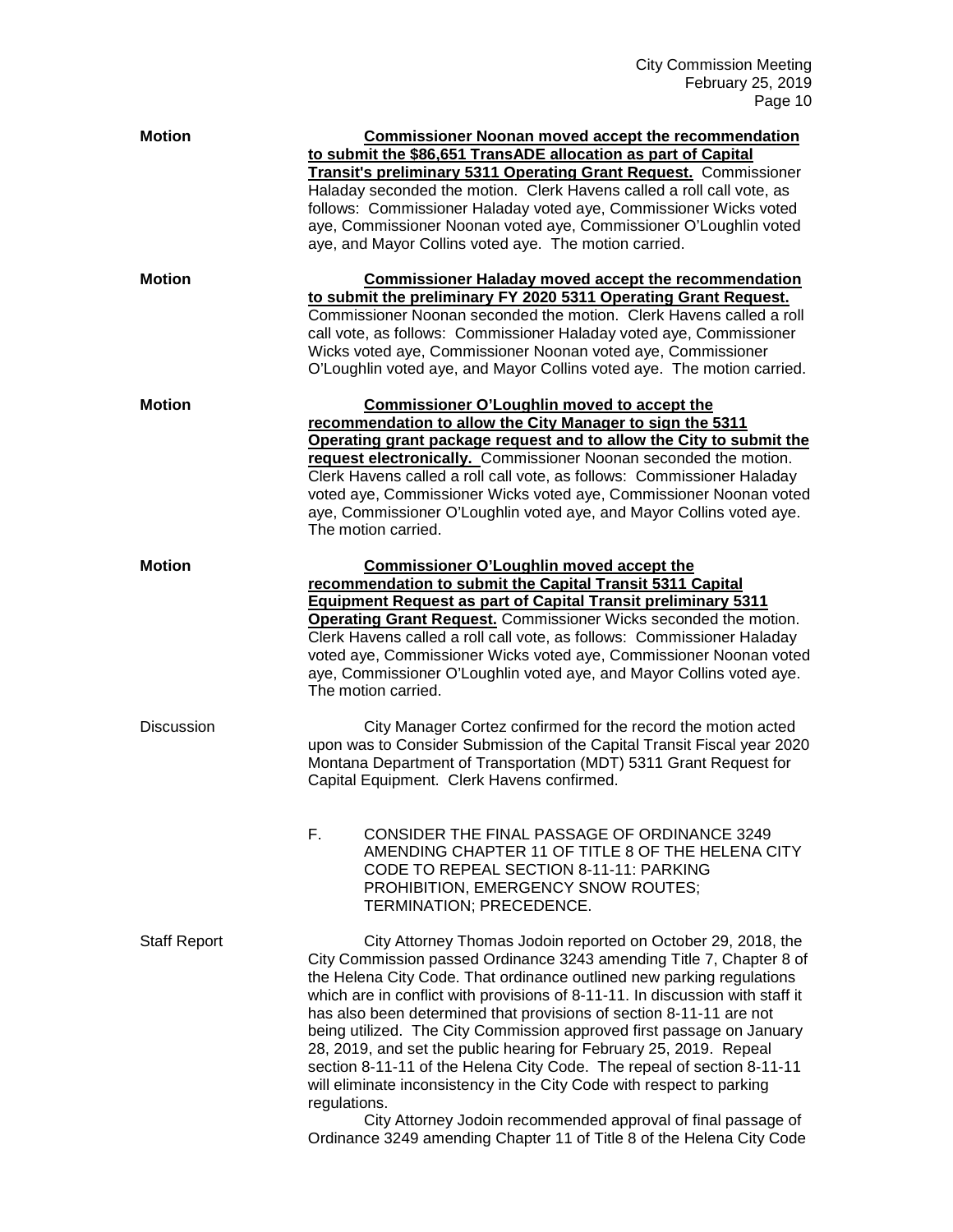| <b>Motion</b>       | <b>Commissioner Noonan moved accept the recommendation</b><br>to submit the \$86,651 TransADE allocation as part of Capital<br><b>Transit's preliminary 5311 Operating Grant Request.</b> Commissioner<br>Haladay seconded the motion. Clerk Havens called a roll call vote, as<br>follows: Commissioner Haladay voted aye, Commissioner Wicks voted<br>aye, Commissioner Noonan voted aye, Commissioner O'Loughlin voted<br>aye, and Mayor Collins voted aye. The motion carried.                                                                                                                                                                                                                                                                                                                                                 |
|---------------------|------------------------------------------------------------------------------------------------------------------------------------------------------------------------------------------------------------------------------------------------------------------------------------------------------------------------------------------------------------------------------------------------------------------------------------------------------------------------------------------------------------------------------------------------------------------------------------------------------------------------------------------------------------------------------------------------------------------------------------------------------------------------------------------------------------------------------------|
| <b>Motion</b>       | <b>Commissioner Haladay moved accept the recommendation</b><br>to submit the preliminary FY 2020 5311 Operating Grant Request.<br>Commissioner Noonan seconded the motion. Clerk Havens called a roll<br>call vote, as follows: Commissioner Haladay voted aye, Commissioner<br>Wicks voted aye, Commissioner Noonan voted aye, Commissioner<br>O'Loughlin voted aye, and Mayor Collins voted aye. The motion carried.                                                                                                                                                                                                                                                                                                                                                                                                             |
| <b>Motion</b>       | <b>Commissioner O'Loughlin moved to accept the</b><br>recommendation to allow the City Manager to sign the 5311<br>Operating grant package request and to allow the City to submit the<br>request electronically. Commissioner Noonan seconded the motion.<br>Clerk Havens called a roll call vote, as follows: Commissioner Haladay<br>voted aye, Commissioner Wicks voted aye, Commissioner Noonan voted<br>aye, Commissioner O'Loughlin voted aye, and Mayor Collins voted aye.<br>The motion carried.                                                                                                                                                                                                                                                                                                                          |
| <b>Motion</b>       | <b>Commissioner O'Loughlin moved accept the</b><br>recommendation to submit the Capital Transit 5311 Capital<br><b>Equipment Request as part of Capital Transit preliminary 5311</b><br><b>Operating Grant Request.</b> Commissioner Wicks seconded the motion.<br>Clerk Havens called a roll call vote, as follows: Commissioner Haladay<br>voted aye, Commissioner Wicks voted aye, Commissioner Noonan voted<br>aye, Commissioner O'Loughlin voted aye, and Mayor Collins voted aye.<br>The motion carried.                                                                                                                                                                                                                                                                                                                     |
| <b>Discussion</b>   | City Manager Cortez confirmed for the record the motion acted<br>upon was to Consider Submission of the Capital Transit Fiscal year 2020<br>Montana Department of Transportation (MDT) 5311 Grant Request for<br>Capital Equipment. Clerk Havens confirmed.                                                                                                                                                                                                                                                                                                                                                                                                                                                                                                                                                                        |
|                     | F.<br>CONSIDER THE FINAL PASSAGE OF ORDINANCE 3249<br>AMENDING CHAPTER 11 OF TITLE 8 OF THE HELENA CITY<br>CODE TO REPEAL SECTION 8-11-11: PARKING<br>PROHIBITION, EMERGENCY SNOW ROUTES;<br>TERMINATION; PRECEDENCE.                                                                                                                                                                                                                                                                                                                                                                                                                                                                                                                                                                                                              |
| <b>Staff Report</b> | City Attorney Thomas Jodoin reported on October 29, 2018, the<br>City Commission passed Ordinance 3243 amending Title 7, Chapter 8 of<br>the Helena City Code. That ordinance outlined new parking regulations<br>which are in conflict with provisions of 8-11-11. In discussion with staff it<br>has also been determined that provisions of section 8-11-11 are not<br>being utilized. The City Commission approved first passage on January<br>28, 2019, and set the public hearing for February 25, 2019. Repeal<br>section 8-11-11 of the Helena City Code. The repeal of section 8-11-11<br>will eliminate inconsistency in the City Code with respect to parking<br>regulations.<br>City Attorney Jodoin recommended approval of final passage of<br>Ordinance 3249 amending Chapter 11 of Title 8 of the Helena City Code |